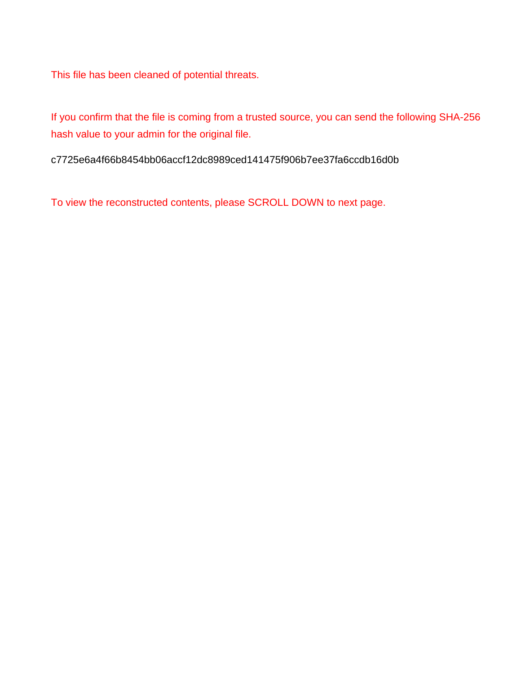This file has been cleaned of potential threats.

If you confirm that the file is coming from a trusted source, you can send the following SHA-256 hash value to your admin for the original file.

c7725e6a4f66b8454bb06accf12dc8989ced141475f906b7ee37fa6ccdb16d0b

To view the reconstructed contents, please SCROLL DOWN to next page.